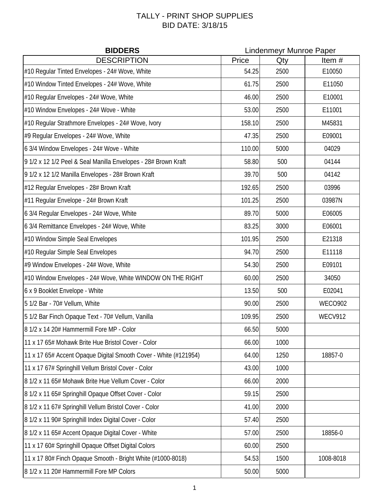## TALLY - PRINT SHOP SUPPLIES BID DATE: 3/18/15

| <b>BIDDERS</b>                                                   | <b>Lindenmeyr Munroe Paper</b> |      |           |  |
|------------------------------------------------------------------|--------------------------------|------|-----------|--|
| <b>DESCRIPTION</b>                                               | Price                          | Qty  | Item#     |  |
| #10 Regular Tinted Envelopes - 24# Wove, White                   | 54.25                          | 2500 | E10050    |  |
| #10 Window Tinted Envelopes - 24# Wove, White                    | 61.75                          | 2500 | E11050    |  |
| #10 Regular Envelopes - 24# Wove, White                          | 46.00                          | 2500 | E10001    |  |
| #10 Window Envelopes - 24# Wove - White                          | 53.00                          | 2500 | E11001    |  |
| #10 Regular Strathmore Envelopes - 24# Wove, Ivory               | 158.10                         | 2500 | M45831    |  |
| #9 Regular Envelopes - 24# Wove, White                           | 47.35                          | 2500 | E09001    |  |
| 6 3/4 Window Envelopes - 24# Wove - White                        | 110.00                         | 5000 | 04029     |  |
| 9 1/2 x 12 1/2 Peel & Seal Manilla Envelopes - 28# Brown Kraft   | 58.80                          | 500  | 04144     |  |
| 9 1/2 x 12 1/2 Manilla Envelopes - 28# Brown Kraft               | 39.70                          | 500  | 04142     |  |
| #12 Regular Envelopes - 28# Brown Kraft                          | 192.65                         | 2500 | 03996     |  |
| #11 Regular Envelope - 24# Brown Kraft                           | 101.25                         | 2500 | 03987N    |  |
| 6 3/4 Regular Envelopes - 24# Wove, White                        | 89.70                          | 5000 | E06005    |  |
| 6 3/4 Remittance Envelopes - 24# Wove, White                     | 83.25                          | 3000 | E06001    |  |
| #10 Window Simple Seal Envelopes                                 | 101.95                         | 2500 | E21318    |  |
| #10 Regular Simple Seal Envelopes                                | 94.70                          | 2500 | E11118    |  |
| #9 Window Envelopes - 24# Wove, White                            | 54.30                          | 2500 | E09101    |  |
| #10 Window Envelopes - 24# Wove, White WINDOW ON THE RIGHT       | 60.00                          | 2500 | 34050     |  |
| 6 x 9 Booklet Envelope - White                                   | 13.50                          | 500  | E02041    |  |
| 5 1/2 Bar - 70# Vellum, White                                    | 90.00                          | 2500 | WECO902   |  |
| 5 1/2 Bar Finch Opaque Text - 70# Vellum, Vanilla                | 109.95                         | 2500 | WECV912   |  |
| 8 1/2 x 14 20# Hammermill Fore MP - Color                        | 66.50                          | 5000 |           |  |
| 11 x 17 65# Mohawk Brite Hue Bristol Cover - Color               | 66.00                          | 1000 |           |  |
| 11 x 17 65# Accent Opaque Digital Smooth Cover - White (#121954) | 64.00                          | 1250 | 18857-0   |  |
| 11 x 17 67# Springhill Vellum Bristol Cover - Color              | 43.00                          | 1000 |           |  |
| 8 1/2 x 11 65# Mohawk Brite Hue Vellum Cover - Color             | 66.00                          | 2000 |           |  |
| 8 1/2 x 11 65# Springhill Opaque Offset Cover - Color            | 59.15                          | 2500 |           |  |
| 8 1/2 x 11 67# Springhill Vellum Bristol Cover - Color           | 41.00                          | 2000 |           |  |
| 8 1/2 x 11 90# Springhill Index Digital Cover - Color            | 57.40                          | 2500 |           |  |
| 8 1/2 x 11 65# Accent Opaque Digital Cover - White               | 57.00                          | 2500 | 18856-0   |  |
| 11 x 17 60# Springhill Opaque Offset Digital Colors              | 60.00                          | 2500 |           |  |
| 11 x 17 80# Finch Opaque Smooth - Bright White (#1000-8018)      | 54.53                          | 1500 | 1008-8018 |  |
| 8 1/2 x 11 20# Hammermill Fore MP Colors                         | 50.00                          | 5000 |           |  |